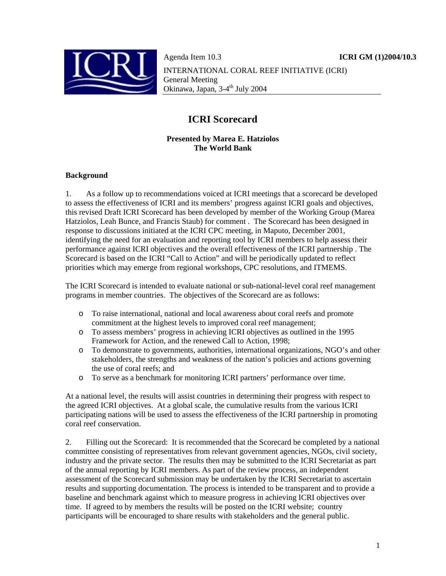

Agenda Item 10.3 **ICRI GM (1)2004/10.3** INTERNATIONAL CORAL REEF INITIATIVE (ICRI) General Meeting Okinawa, Japan, 3-4<sup>th</sup> July 2004

# **ICRI Scorecard**

#### **Presented by Marea E. Hatziolos The World Bank**

#### **Background**

1. As a follow up to recommendations voiced at ICRI meetings that a scorecard be developed to assess the effectiveness of ICRI and its members' progress against ICRI goals and objectives, this revised Draft ICRI Scorecard has been developed by member of the Working Group (Marea Hatziolos, Leah Bunce, and Francis Staub) for comment . The Scorecard has been designed in response to discussions initiated at the ICRI CPC meeting, in Maputo, December 2001, identifying the need for an evaluation and reporting tool by ICRI members to help assess their performance against ICRI objectives and the overall effectiveness of the ICRI partnership . The Scorecard is based on the ICRI "Call to Action" and will be periodically updated to reflect priorities which may emerge from regional workshops, CPC resolutions, and ITMEMS.

The ICRI Scorecard is intended to evaluate national or sub-national-level coral reef management programs in member countries. The objectives of the Scorecard are as follows:

- o To raise international, national and local awareness about coral reefs and promote commitment at the highest levels to improved coral reef management;
- o To assess members' progress in achieving ICRI objectives as outlined in the 1995 Framework for Action, and the renewed Call to Action, 1998;
- o To demonstrate to governments, authorities, international organizations, NGO's and other stakeholders, the strengths and weakness of the nation's policies and actions governing the use of coral reefs; and
- o To serve as a benchmark for monitoring ICRI partners' performance over time.

At a national level, the results will assist countries in determining their progress with respect to the agreed ICRI objectives. At a global scale, the cumulative results from the various ICRI participating nations will be used to assess the effectiveness of the ICRI partnership in promoting coral reef conservation.

2. Filling out the Scorecard: It is recommended that the Scorecard be completed by a national committee consisting of representatives from relevant government agencies, NGOs, civil society, industry and the private sector. The results then may be submitted to the ICRI Secretariat as part of the annual reporting by ICRI members. As part of the review process, an independent assessment of the Scorecard submission may be undertaken by the ICRI Secretariat to ascertain results and supporting documentation. The process is intended to be transparent and to provide a baseline and benchmark against which to measure progress in achieving ICRI objectives over time. If agreed to by members the results will be posted on the ICRI website; country participants will be encouraged to share results with stakeholders and the general public.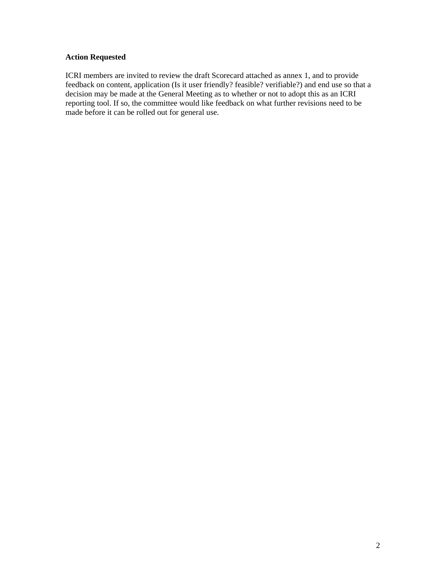### **Action Requested**

ICRI members are invited to review the draft Scorecard attached as annex 1, and to provide feedback on content, application (Is it user friendly? feasible? verifiable?) and end use so that a decision may be made at the General Meeting as to whether or not to adopt this as an ICRI reporting tool. If so, the committee would like feedback on what further revisions need to be made before it can be rolled out for general use.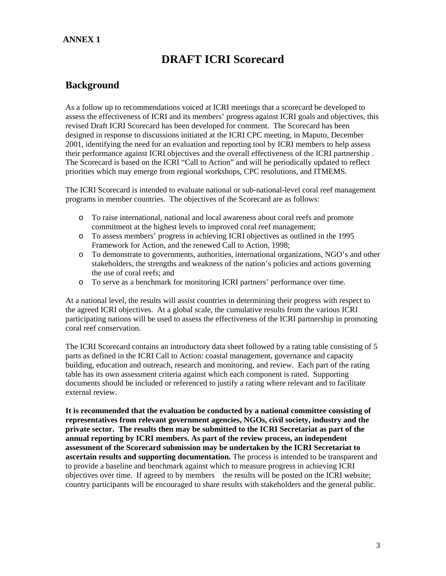### **ANNEX 1**

# **DRAFT ICRI Scorecard**

## **Background**

As a follow up to recommendations voiced at ICRI meetings that a scorecard be developed to assess the effectiveness of ICRI and its members' progress against ICRI goals and objectives, this revised Draft ICRI Scorecard has been developed for comment. The Scorecard has been designed in response to discussions initiated at the ICRI CPC meeting, in Maputo, December 2001, identifying the need for an evaluation and reporting tool by ICRI members to help assess their performance against ICRI objectives and the overall effectiveness of the ICRI partnership . The Scorecard is based on the ICRI "Call to Action" and will be periodically updated to reflect priorities which may emerge from regional workshops, CPC resolutions, and ITMEMS.

The ICRI Scorecard is intended to evaluate national or sub-national-level coral reef management programs in member countries. The objectives of the Scorecard are as follows:

- o To raise international, national and local awareness about coral reefs and promote commitment at the highest levels to improved coral reef management;
- o To assess members' progress in achieving ICRI objectives as outlined in the 1995 Framework for Action, and the renewed Call to Action, 1998;
- o To demonstrate to governments, authorities, international organizations, NGO's and other stakeholders, the strengths and weakness of the nation's policies and actions governing the use of coral reefs; and
- o To serve as a benchmark for monitoring ICRI partners' performance over time.

At a national level, the results will assist countries in determining their progress with respect to the agreed ICRI objectives. At a global scale, the cumulative results from the various ICRI participating nations will be used to assess the effectiveness of the ICRI partnership in promoting coral reef conservation.

The ICRI Scorecard contains an introductory data sheet followed by a rating table consisting of 5 parts as defined in the ICRI Call to Action: coastal management, governance and capacity building, education and outreach, research and monitoring, and review. Each part of the rating table has its own assessment criteria against which each component is rated. Supporting documents should be included or referenced to justify a rating where relevant and to facilitate external review.

**It is recommended that the evaluation be conducted by a national committee consisting of representatives from relevant government agencies, NGOs, civil society, industry and the private sector. The results then may be submitted to the ICRI Secretariat as part of the annual reporting by ICRI members. As part of the review process, an independent assessment of the Scorecard submission may be undertaken by the ICRI Secretariat to ascertain results and supporting documentation.** The process is intended to be transparent and to provide a baseline and benchmark against which to measure progress in achieving ICRI objectives over time. If agreed to by members the results will be posted on the ICRI website; country participants will be encouraged to share results with stakeholders and the general public.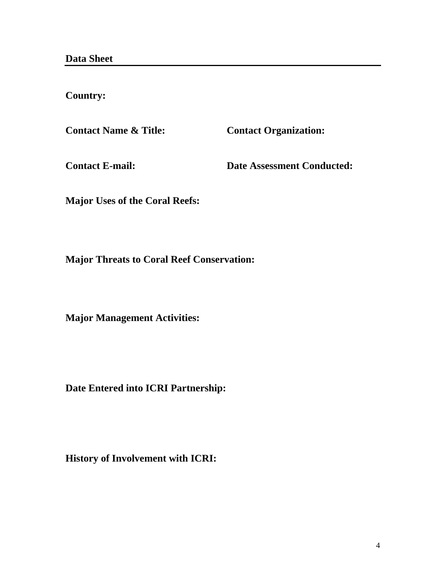**Country:** 

Contact Name & Title: Contact Organization:

**Contact E-mail: Date Assessment Conducted:** 

**Major Uses of the Coral Reefs:** 

**Major Threats to Coral Reef Conservation:** 

**Major Management Activities:** 

**Date Entered into ICRI Partnership:** 

**History of Involvement with ICRI:**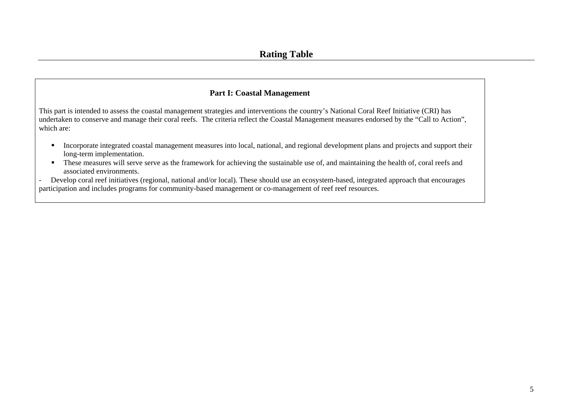### **Part I: Coastal Management**

This part is intended to assess the coastal management strategies and interventions the country's National Coral Reef Initiative (CRI) has undertaken to conserve and manage their coral reefs. The criteria reflect the Coastal Management measures endorsed by the "Call to Action", which are:

- **Incorporate integrated coastal management measures into local, national, and regional development plans and projects and support their** long-term implementation.
- These measures will serve serve as the framework for achieving the sustainable use of, and maintaining the health of, coral reefs and associated environments.
- Develop coral reef initiatives (regional, national and/or local). These should use an ecosystem-based, integrated approach that encourages participation and includes programs for community-based management or co-management of reef reef resources.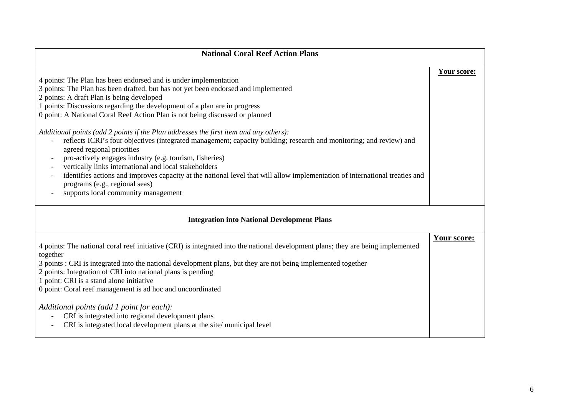| <b>National Coral Reef Action Plans</b>                                                                                                                                                                                                                                                                                                                                                                                                                                                                                                                                                                                                                                                                                                                                                                                                                                                                                                    |                    |
|--------------------------------------------------------------------------------------------------------------------------------------------------------------------------------------------------------------------------------------------------------------------------------------------------------------------------------------------------------------------------------------------------------------------------------------------------------------------------------------------------------------------------------------------------------------------------------------------------------------------------------------------------------------------------------------------------------------------------------------------------------------------------------------------------------------------------------------------------------------------------------------------------------------------------------------------|--------------------|
| 4 points: The Plan has been endorsed and is under implementation<br>3 points: The Plan has been drafted, but has not yet been endorsed and implemented<br>2 points: A draft Plan is being developed<br>1 points: Discussions regarding the development of a plan are in progress<br>0 point: A National Coral Reef Action Plan is not being discussed or planned<br>Additional points (add 2 points if the Plan addresses the first item and any others):<br>reflects ICRI's four objectives (integrated management; capacity building; research and monitoring; and review) and<br>agreed regional priorities<br>pro-actively engages industry (e.g. tourism, fisheries)<br>vertically links international and local stakeholders<br>identifies actions and improves capacity at the national level that will allow implementation of international treaties and<br>programs (e.g., regional seas)<br>supports local community management | Your score:        |
| <b>Integration into National Development Plans</b>                                                                                                                                                                                                                                                                                                                                                                                                                                                                                                                                                                                                                                                                                                                                                                                                                                                                                         |                    |
| 4 points: The national coral reef initiative (CRI) is integrated into the national development plans; they are being implemented<br>together<br>3 points : CRI is integrated into the national development plans, but they are not being implemented together<br>2 points: Integration of CRI into national plans is pending<br>1 point: CRI is a stand alone initiative<br>0 point: Coral reef management is ad hoc and uncoordinated<br>Additional points (add 1 point for each):<br>CRI is integrated into regional development plans<br>CRI is integrated local development plans at the site/municipal level                                                                                                                                                                                                                                                                                                                          | <b>Your score:</b> |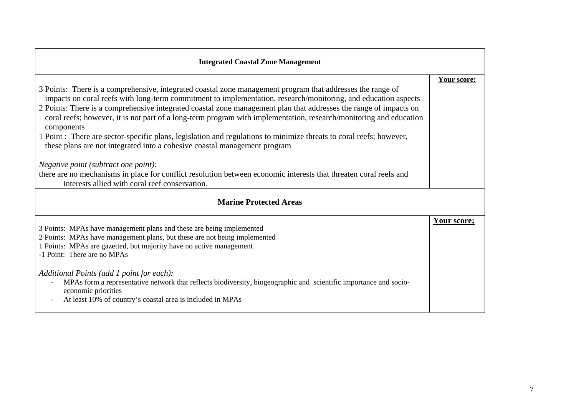| <b>Integrated Coastal Zone Management</b>                                                                                                                                                                                                                                                                                                                               |             |
|-------------------------------------------------------------------------------------------------------------------------------------------------------------------------------------------------------------------------------------------------------------------------------------------------------------------------------------------------------------------------|-------------|
| 3 Points: There is a comprehensive, integrated coastal zone management program that addresses the range of                                                                                                                                                                                                                                                              | Your score: |
| impacts on coral reefs with long-term commitment to implementation, research/monitoring, and education aspects<br>2 Points: There is a comprehensive integrated coastal zone management plan that addresses the range of impacts on<br>coral reefs; however, it is not part of a long-term program with implementation, research/monitoring and education<br>components |             |
| 1 Point : There are sector-specific plans, legislation and regulations to minimize threats to coral reefs; however,<br>these plans are not integrated into a cohesive coastal management program                                                                                                                                                                        |             |
| <i>Negative point (subtract one point):</i>                                                                                                                                                                                                                                                                                                                             |             |
| there are no mechanisms in place for conflict resolution between economic interests that threaten coral reefs and<br>interests allied with coral reef conservation.                                                                                                                                                                                                     |             |
| <b>Marine Protected Areas</b>                                                                                                                                                                                                                                                                                                                                           |             |
| 3 Points: MPAs have management plans and these are being implemented<br>2 Points: MPAs have management plans, but these are not being implemented<br>1 Points: MPAs are gazetted, but majority have no active management<br>-1 Point: There are no MPAs                                                                                                                 | Your score; |
| Additional Points (add 1 point for each):<br>MPAs form a representative network that reflects biodiversity, biogeographic and scientific importance and socio-<br>economic priorities<br>At least 10% of country's coastal area is included in MPAs                                                                                                                     |             |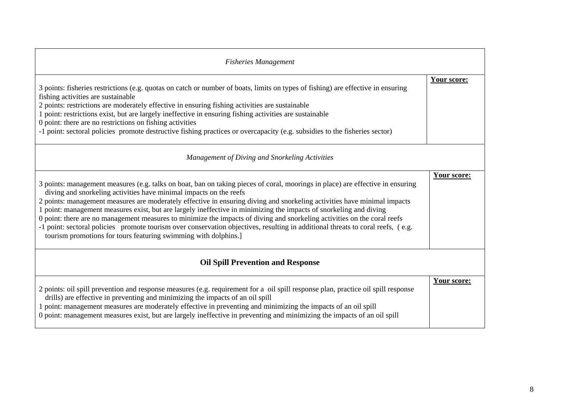| <b>Fisheries Management</b>                                                                                                                                                                                                                                                                                                                                                                                                                                                                                                                                                                                                                                                                                                                                                              |             |
|------------------------------------------------------------------------------------------------------------------------------------------------------------------------------------------------------------------------------------------------------------------------------------------------------------------------------------------------------------------------------------------------------------------------------------------------------------------------------------------------------------------------------------------------------------------------------------------------------------------------------------------------------------------------------------------------------------------------------------------------------------------------------------------|-------------|
| 3 points: fisheries restrictions (e.g. quotas on catch or number of boats, limits on types of fishing) are effective in ensuring<br>fishing activities are sustainable<br>2 points: restrictions are moderately effective in ensuring fishing activities are sustainable<br>1 point: restrictions exist, but are largely ineffective in ensuring fishing activities are sustainable<br>0 point: there are no restrictions on fishing activities<br>-1 point: sectoral policies promote destructive fishing practices or overcapacity (e.g. subsidies to the fisheries sector)                                                                                                                                                                                                            | Your score: |
| Management of Diving and Snorkeling Activities                                                                                                                                                                                                                                                                                                                                                                                                                                                                                                                                                                                                                                                                                                                                           |             |
| 3 points: management measures (e.g. talks on boat, ban on taking pieces of coral, moorings in place) are effective in ensuring<br>diving and snorkeling activities have minimal impacts on the reefs<br>2 points: management measures are moderately effective in ensuring diving and snorkeling activities have minimal impacts<br>1 point: management measures exist, but are largely ineffective in minimizing the impacts of snorkeling and diving<br>0 point: there are no management measures to minimize the impacts of diving and snorkeling activities on the coral reefs<br>-1 point: sectoral policies promote tourism over conservation objectives, resulting in additional threats to coral reefs, (e.g.<br>tourism promotions for tours featuring swimming with dolphins.] | Your score: |
| <b>Oil Spill Prevention and Response</b>                                                                                                                                                                                                                                                                                                                                                                                                                                                                                                                                                                                                                                                                                                                                                 |             |
| 2 points: oil spill prevention and response measures (e.g. requirement for a oil spill response plan, practice oil spill response<br>drills) are effective in preventing and minimizing the impacts of an oil spill<br>1 point: management measures are moderately effective in preventing and minimizing the impacts of an oil spill<br>0 point: management measures exist, but are largely ineffective in preventing and minimizing the impacts of an oil spill                                                                                                                                                                                                                                                                                                                        | Your score: |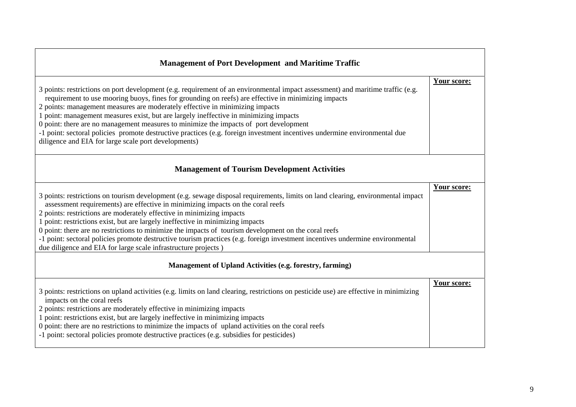| <b>Management of Port Development and Maritime Traffic</b>                                                                                                                                                                                                                                                                                                                                                                                                                                                                                                                                                                                                                                   |             |
|----------------------------------------------------------------------------------------------------------------------------------------------------------------------------------------------------------------------------------------------------------------------------------------------------------------------------------------------------------------------------------------------------------------------------------------------------------------------------------------------------------------------------------------------------------------------------------------------------------------------------------------------------------------------------------------------|-------------|
| 3 points: restrictions on port development (e.g. requirement of an environmental impact assessment) and maritime traffic (e.g.<br>requirement to use mooring buoys, fines for grounding on reefs) are effective in minimizing impacts<br>2 points: management measures are moderately effective in minimizing impacts<br>1 point: management measures exist, but are largely ineffective in minimizing impacts<br>0 point: there are no management measures to minimize the impacts of port development<br>-1 point: sectoral policies promote destructive practices (e.g. foreign investment incentives undermine environmental due<br>diligence and EIA for large scale port developments) | Your score: |
| <b>Management of Tourism Development Activities</b>                                                                                                                                                                                                                                                                                                                                                                                                                                                                                                                                                                                                                                          |             |
| 3 points: restrictions on tourism development (e.g. sewage disposal requirements, limits on land clearing, environmental impact<br>assessment requirements) are effective in minimizing impacts on the coral reefs<br>2 points: restrictions are moderately effective in minimizing impacts<br>1 point: restrictions exist, but are largely ineffective in minimizing impacts<br>0 point: there are no restrictions to minimize the impacts of tourism development on the coral reefs<br>-1 point: sectoral policies promote destructive tourism practices (e.g. foreign investment incentives undermine environmental<br>due diligence and EIA for large scale infrastructure projects)     | Your score: |
| Management of Upland Activities (e.g. forestry, farming)                                                                                                                                                                                                                                                                                                                                                                                                                                                                                                                                                                                                                                     |             |
| 3 points: restrictions on upland activities (e.g. limits on land clearing, restrictions on pesticide use) are effective in minimizing<br>impacts on the coral reefs<br>2 points: restrictions are moderately effective in minimizing impacts<br>1 point: restrictions exist, but are largely ineffective in minimizing impacts<br>0 point: there are no restrictions to minimize the impacts of upland activities on the coral reefs<br>-1 point: sectoral policies promote destructive practices (e.g. subsidies for pesticides)                                                                                                                                                            | Your score: |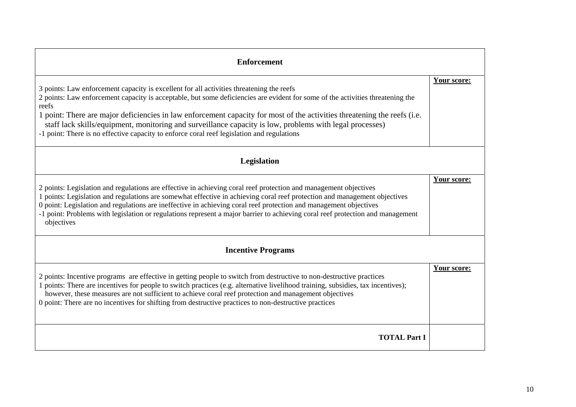| <b>Enforcement</b>                                                                                                                                                                                                                                                                                                                                                                                                                                                                                                                                                        |             |
|---------------------------------------------------------------------------------------------------------------------------------------------------------------------------------------------------------------------------------------------------------------------------------------------------------------------------------------------------------------------------------------------------------------------------------------------------------------------------------------------------------------------------------------------------------------------------|-------------|
| 3 points: Law enforcement capacity is excellent for all activities threatening the reefs<br>2 points: Law enforcement capacity is acceptable, but some deficiencies are evident for some of the activities threatening the<br>reefs<br>1 point: There are major deficiencies in law enforcement capacity for most of the activities threatening the reefs (i.e.<br>staff lack skills/equipment, monitoring and surveillance capacity is low, problems with legal processes)<br>-1 point: There is no effective capacity to enforce coral reef legislation and regulations | Your score: |
| Legislation                                                                                                                                                                                                                                                                                                                                                                                                                                                                                                                                                               |             |
| 2 points: Legislation and regulations are effective in achieving coral reef protection and management objectives<br>1 points: Legislation and regulations are somewhat effective in achieving coral reef protection and management objectives<br>0 point: Legislation and regulations are ineffective in achieving coral reef protection and management objectives<br>-1 point: Problems with legislation or regulations represent a major barrier to achieving coral reef protection and management<br>objectives                                                        | Your score: |
| <b>Incentive Programs</b>                                                                                                                                                                                                                                                                                                                                                                                                                                                                                                                                                 |             |
| 2 points: Incentive programs are effective in getting people to switch from destructive to non-destructive practices<br>1 points: There are incentives for people to switch practices (e.g. alternative livelihood training, subsidies, tax incentives);<br>however, these measures are not sufficient to achieve coral reef protection and management objectives<br>0 point: There are no incentives for shifting from destructive practices to non-destructive practices                                                                                                | Your score: |
| <b>TOTAL Part I</b>                                                                                                                                                                                                                                                                                                                                                                                                                                                                                                                                                       |             |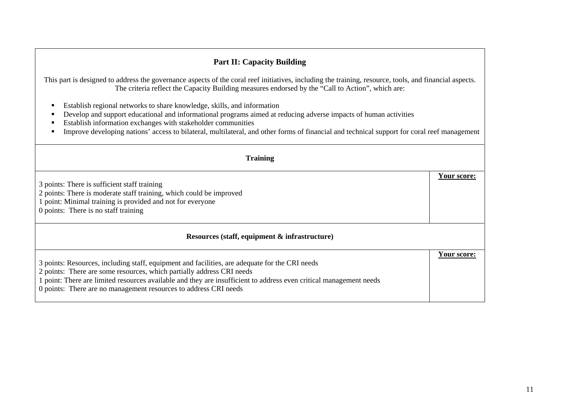## **Part II: Capacity Building**

This part is designed to address the governance aspects of the coral reef initiatives, including the training, resource, tools, and financial aspects. The criteria reflect the Capacity Building measures endorsed by the "Call to Action", which are:

- Establish regional networks to share knowledge, skills, and information
- Develop and support educational and informational programs aimed at reducing adverse impacts of human activities
- **Establish information exchanges with stakeholder communities**
- **IMPROVE developing nations' access to bilateral, multilateral, and other forms of financial and technical support for coral reef management**

| <b>Training</b>                                                                                                                                                                                                                                                                                                                                                   |             |
|-------------------------------------------------------------------------------------------------------------------------------------------------------------------------------------------------------------------------------------------------------------------------------------------------------------------------------------------------------------------|-------------|
| 3 points: There is sufficient staff training<br>2 points: There is moderate staff training, which could be improved<br>1 point: Minimal training is provided and not for everyone<br>0 points: There is no staff training                                                                                                                                         | Your score: |
| Resources (staff, equipment & infrastructure)                                                                                                                                                                                                                                                                                                                     |             |
| 3 points: Resources, including staff, equipment and facilities, are adequate for the CRI needs<br>2 points: There are some resources, which partially address CRI needs<br>1 point: There are limited resources available and they are insufficient to address even critical management needs<br>0 points: There are no management resources to address CRI needs | Your score: |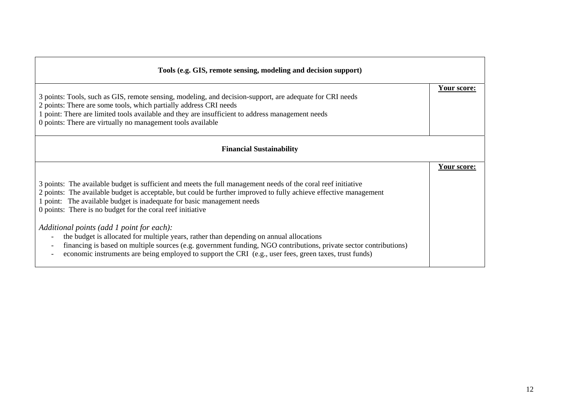| Tools (e.g. GIS, remote sensing, modeling and decision support)                                                                                                                                                                                                                                                                                                            |             |
|----------------------------------------------------------------------------------------------------------------------------------------------------------------------------------------------------------------------------------------------------------------------------------------------------------------------------------------------------------------------------|-------------|
| 3 points: Tools, such as GIS, remote sensing, modeling, and decision-support, are adequate for CRI needs<br>2 points: There are some tools, which partially address CRI needs<br>1 point: There are limited tools available and they are insufficient to address management needs<br>0 points: There are virtually no management tools available                           | Your score: |
| <b>Financial Sustainability</b>                                                                                                                                                                                                                                                                                                                                            |             |
| 3 points: The available budget is sufficient and meets the full management needs of the coral reef initiative<br>2 points: The available budget is acceptable, but could be further improved to fully achieve effective management<br>1 point: The available budget is inadequate for basic management needs<br>0 points: There is no budget for the coral reef initiative | Your score: |
| Additional points (add 1 point for each):<br>the budget is allocated for multiple years, rather than depending on annual allocations<br>financing is based on multiple sources (e.g. government funding, NGO contributions, private sector contributions)<br>economic instruments are being employed to support the CRI (e.g., user fees, green taxes, trust funds)        |             |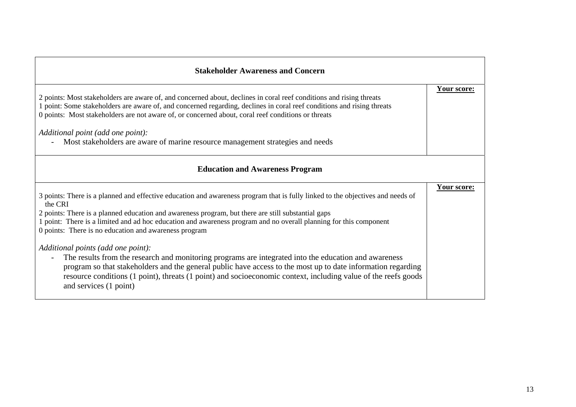| <b>Stakeholder Awareness and Concern</b>                                                                                                                                                                                                                                                                                                                                                                                                                                                                                                                                                                                                                                                                                                                                                                                                 |             |
|------------------------------------------------------------------------------------------------------------------------------------------------------------------------------------------------------------------------------------------------------------------------------------------------------------------------------------------------------------------------------------------------------------------------------------------------------------------------------------------------------------------------------------------------------------------------------------------------------------------------------------------------------------------------------------------------------------------------------------------------------------------------------------------------------------------------------------------|-------------|
| 2 points: Most stakeholders are aware of, and concerned about, declines in coral reef conditions and rising threats<br>1 point: Some stakeholders are aware of, and concerned regarding, declines in coral reef conditions and rising threats<br>0 points: Most stakeholders are not aware of, or concerned about, coral reef conditions or threats<br>Additional point (add one point):<br>Most stakeholders are aware of marine resource management strategies and needs                                                                                                                                                                                                                                                                                                                                                               | Your score: |
| <b>Education and Awareness Program</b>                                                                                                                                                                                                                                                                                                                                                                                                                                                                                                                                                                                                                                                                                                                                                                                                   |             |
| 3 points: There is a planned and effective education and awareness program that is fully linked to the objectives and needs of<br>the CRI<br>2 points: There is a planned education and awareness program, but there are still substantial gaps<br>1 point: There is a limited and ad hoc education and awareness program and no overall planning for this component<br>0 points: There is no education and awareness program<br>Additional points (add one point):<br>The results from the research and monitoring programs are integrated into the education and awareness<br>program so that stakeholders and the general public have access to the most up to date information regarding<br>resource conditions (1 point), threats (1 point) and socioeconomic context, including value of the reefs goods<br>and services (1 point) | Your score: |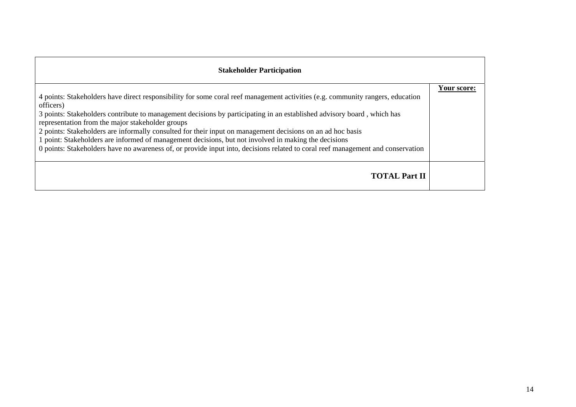| <b>Stakeholder Participation</b>                                                                                                                                                                                                                                                                                                                                                                                                                                                                                                                                                                                                                                                   |             |
|------------------------------------------------------------------------------------------------------------------------------------------------------------------------------------------------------------------------------------------------------------------------------------------------------------------------------------------------------------------------------------------------------------------------------------------------------------------------------------------------------------------------------------------------------------------------------------------------------------------------------------------------------------------------------------|-------------|
| 4 points: Stakeholders have direct responsibility for some coral reef management activities (e.g. community rangers, education<br>officers)<br>3 points: Stakeholders contribute to management decisions by participating in an established advisory board, which has<br>representation from the major stakeholder groups<br>2 points: Stakeholders are informally consulted for their input on management decisions on an ad hoc basis<br>1 point: Stakeholders are informed of management decisions, but not involved in making the decisions<br>0 points: Stakeholders have no awareness of, or provide input into, decisions related to coral reef management and conservation | Your score: |
| <b>TOTAL Part II</b>                                                                                                                                                                                                                                                                                                                                                                                                                                                                                                                                                                                                                                                               |             |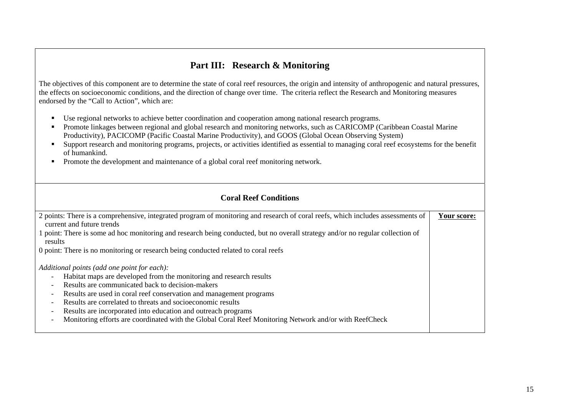## **Part III: Research & Monitoring**

The objectives of this component are to determine the state of coral reef resources, the origin and intensity of anthropogenic and natural pressures, the effects on socioeconomic conditions, and the direction of change over time. The criteria reflect the Research and Monitoring measures endorsed by the "Call to Action", which are:

- Use regional networks to achieve better coordination and cooperation among national research programs.
- **Promote linkages between regional and global research and monitoring networks, such as CARICOMP (Caribbean Coastal Marine** Productivity), PACICOMP (Pacific Coastal Marine Productivity), and GOOS (Global Ocean Observing System)
- Support research and monitoring programs, projects, or activities identified as essential to managing coral reef ecosystems for the benefit of humankind.
- **Promote the development and maintenance of a global coral reef monitoring network.**

| <b>Coral Reef Conditions</b>                                                                                                                                 |             |
|--------------------------------------------------------------------------------------------------------------------------------------------------------------|-------------|
| 2 points: There is a comprehensive, integrated program of monitoring and research of coral reefs, which includes assessments of<br>current and future trends | Your score: |
| 1 point: There is some ad hoc monitoring and research being conducted, but no overall strategy and/or no regular collection of<br>results                    |             |
| 0 point: There is no monitoring or research being conducted related to coral reefs                                                                           |             |
| Additional points (add one point for each):                                                                                                                  |             |
| Habitat maps are developed from the monitoring and research results                                                                                          |             |
| Results are communicated back to decision-makers                                                                                                             |             |
| Results are used in coral reef conservation and management programs                                                                                          |             |
| Results are correlated to threats and socioeconomic results                                                                                                  |             |
| Results are incorporated into education and outreach programs                                                                                                |             |
| Monitoring efforts are coordinated with the Global Coral Reef Monitoring Network and/or with ReefCheck                                                       |             |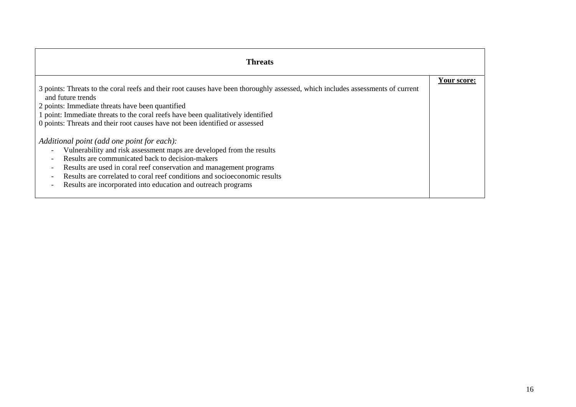| <b>Threats</b>                                                                                                                                                                                                                                                                                                                                                                                                                                                                                               |             |
|--------------------------------------------------------------------------------------------------------------------------------------------------------------------------------------------------------------------------------------------------------------------------------------------------------------------------------------------------------------------------------------------------------------------------------------------------------------------------------------------------------------|-------------|
| 3 points: Threats to the coral reefs and their root causes have been thoroughly assessed, which includes assessments of current<br>and future trends<br>2 points: Immediate threats have been quantified<br>1 point: Immediate threats to the coral reefs have been qualitatively identified<br>0 points: Threats and their root causes have not been identified or assessed                                                                                                                                 | Your score: |
| Additional point (add one point for each):<br>Vulnerability and risk assessment maps are developed from the results<br>Results are communicated back to decision-makers<br>$\overline{\phantom{a}}$<br>Results are used in coral reef conservation and management programs<br>$\overline{\phantom{a}}$<br>Results are correlated to coral reef conditions and socioeconomic results<br>$\overline{\phantom{a}}$<br>Results are incorporated into education and outreach programs<br>$\overline{\phantom{a}}$ |             |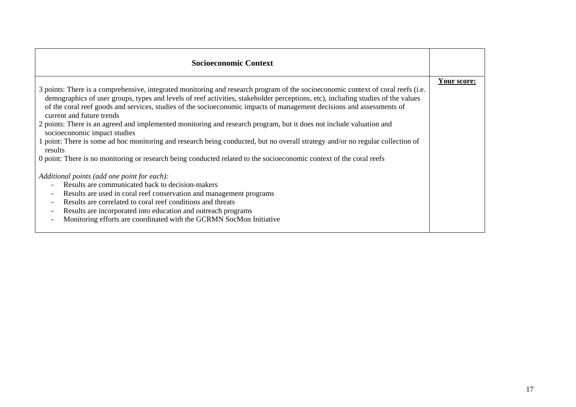| <b>Socioeconomic Context</b>                                                                                                                                                                                                                                                                                                                                                                                                                                                                                                                                                                                                                                                                                                                                                                                                                          |             |
|-------------------------------------------------------------------------------------------------------------------------------------------------------------------------------------------------------------------------------------------------------------------------------------------------------------------------------------------------------------------------------------------------------------------------------------------------------------------------------------------------------------------------------------------------------------------------------------------------------------------------------------------------------------------------------------------------------------------------------------------------------------------------------------------------------------------------------------------------------|-------------|
| 3 points: There is a comprehensive, integrated monitoring and research program of the socioeconomic context of coral reefs (i.e.<br>demographics of user groups, types and levels of reef activities, stakeholder perceptions, etc), including studies of the values<br>of the coral reef goods and services, studies of the socioeconomic impacts of management decisions and assessments of<br>current and future trends<br>2 points: There is an agreed and implemented monitoring and research program, but it does not include valuation and<br>socioeconomic impact studies<br>1 point: There is some ad hoc monitoring and research being conducted, but no overall strategy and/or no regular collection of<br>results<br>0 point: There is no monitoring or research being conducted related to the socioeconomic context of the coral reefs | Your score: |
| Additional points (add one point for each):<br>Results are communicated back to decision-makers<br>Results are used in coral reef conservation and management programs<br>$\overline{\phantom{a}}$<br>Results are correlated to coral reef conditions and threats<br>$\overline{\phantom{a}}$<br>Results are incorporated into education and outreach programs<br>$\overline{\phantom{a}}$<br>Monitoring efforts are coordinated with the GCRMN SocMon Initiative<br>$\overline{\phantom{a}}$                                                                                                                                                                                                                                                                                                                                                         |             |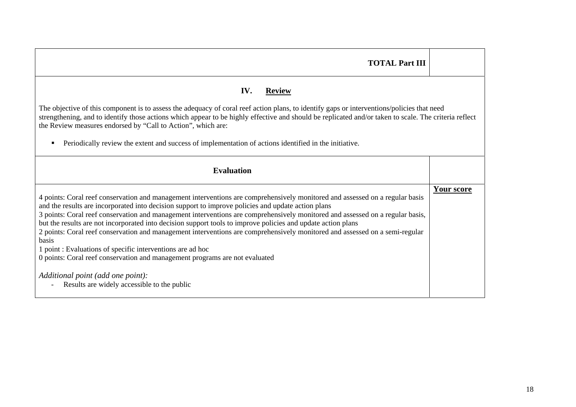| <b>TOTAL Part III</b>                                                                                                                                                                                                                                                                                                                                                                                                                                                                                                                                                                                                                                                                                                                                                                                                                                               |                   |  |  |  |  |
|---------------------------------------------------------------------------------------------------------------------------------------------------------------------------------------------------------------------------------------------------------------------------------------------------------------------------------------------------------------------------------------------------------------------------------------------------------------------------------------------------------------------------------------------------------------------------------------------------------------------------------------------------------------------------------------------------------------------------------------------------------------------------------------------------------------------------------------------------------------------|-------------------|--|--|--|--|
| IV.<br><b>Review</b><br>The objective of this component is to assess the adequacy of coral reef action plans, to identify gaps or interventions/policies that need                                                                                                                                                                                                                                                                                                                                                                                                                                                                                                                                                                                                                                                                                                  |                   |  |  |  |  |
| strengthening, and to identify those actions which appear to be highly effective and should be replicated and/or taken to scale. The criteria reflect<br>the Review measures endorsed by "Call to Action", which are:<br>Periodically review the extent and success of implementation of actions identified in the initiative.                                                                                                                                                                                                                                                                                                                                                                                                                                                                                                                                      |                   |  |  |  |  |
| <b>Evaluation</b>                                                                                                                                                                                                                                                                                                                                                                                                                                                                                                                                                                                                                                                                                                                                                                                                                                                   |                   |  |  |  |  |
| 4 points: Coral reef conservation and management interventions are comprehensively monitored and assessed on a regular basis<br>and the results are incorporated into decision support to improve policies and update action plans<br>3 points: Coral reef conservation and management interventions are comprehensively monitored and assessed on a regular basis,<br>but the results are not incorporated into decision support tools to improve policies and update action plans<br>2 points: Coral reef conservation and management interventions are comprehensively monitored and assessed on a semi-regular<br><b>basis</b><br>1 point : Evaluations of specific interventions are ad hoc<br>0 points: Coral reef conservation and management programs are not evaluated<br>Additional point (add one point):<br>Results are widely accessible to the public | <b>Your score</b> |  |  |  |  |
|                                                                                                                                                                                                                                                                                                                                                                                                                                                                                                                                                                                                                                                                                                                                                                                                                                                                     |                   |  |  |  |  |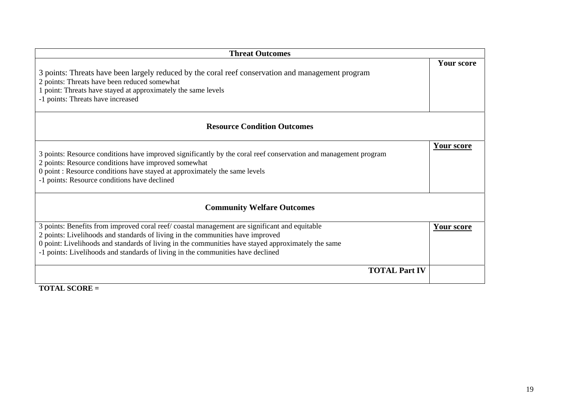| <b>Threat Outcomes</b>                                                                                                                                                                                                                                                                                                                                                   |                   |  |  |  |
|--------------------------------------------------------------------------------------------------------------------------------------------------------------------------------------------------------------------------------------------------------------------------------------------------------------------------------------------------------------------------|-------------------|--|--|--|
| 3 points: Threats have been largely reduced by the coral reef conservation and management program<br>2 points: Threats have been reduced somewhat<br>1 point: Threats have stayed at approximately the same levels<br>-1 points: Threats have increased                                                                                                                  | <b>Your score</b> |  |  |  |
| <b>Resource Condition Outcomes</b>                                                                                                                                                                                                                                                                                                                                       |                   |  |  |  |
| 3 points: Resource conditions have improved significantly by the coral reef conservation and management program<br>2 points: Resource conditions have improved somewhat<br>0 point: Resource conditions have stayed at approximately the same levels<br>-1 points: Resource conditions have declined                                                                     | Your score        |  |  |  |
| <b>Community Welfare Outcomes</b>                                                                                                                                                                                                                                                                                                                                        |                   |  |  |  |
| 3 points: Benefits from improved coral reef/ coastal management are significant and equitable<br>2 points: Livelihoods and standards of living in the communities have improved<br>0 point: Livelihoods and standards of living in the communities have stayed approximately the same<br>-1 points: Livelihoods and standards of living in the communities have declined | Your score        |  |  |  |
| <b>TOTAL Part IV</b>                                                                                                                                                                                                                                                                                                                                                     |                   |  |  |  |

**TOTAL SCORE =**